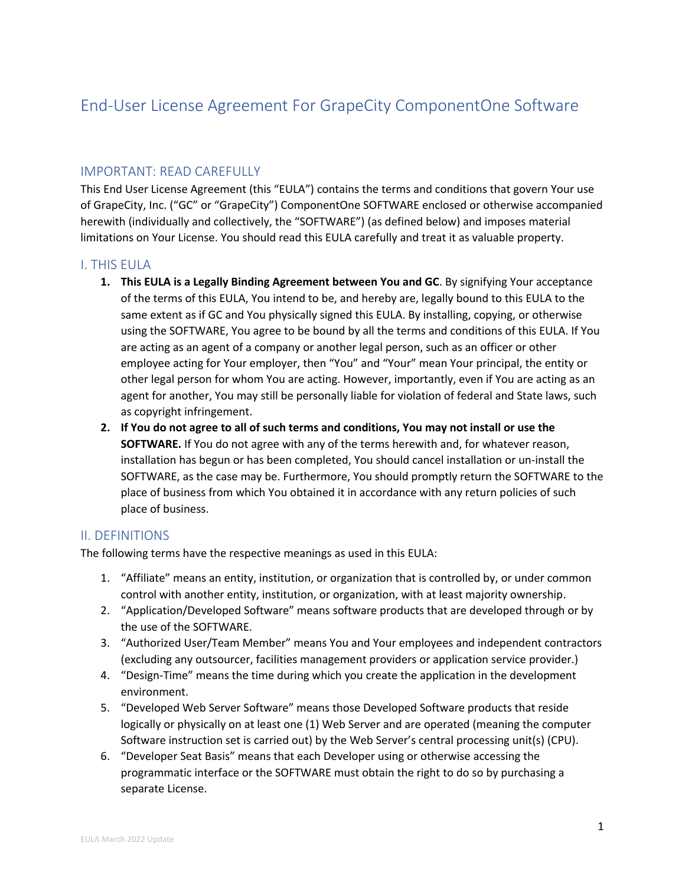# End-User License Agreement For GrapeCity ComponentOne Software

# IMPORTANT: READ CAREFULLY

This End User License Agreement (this "EULA") contains the terms and conditions that govern Your use of GrapeCity, Inc. ("GC" or "GrapeCity") ComponentOne SOFTWARE enclosed or otherwise accompanied herewith (individually and collectively, the "SOFTWARE") (as defined below) and imposes material limitations on Your License. You should read this EULA carefully and treat it as valuable property.

# I. THIS EULA

- **1. This EULA is a Legally Binding Agreement between You and GC**. By signifying Your acceptance of the terms of this EULA, You intend to be, and hereby are, legally bound to this EULA to the same extent as if GC and You physically signed this EULA. By installing, copying, or otherwise using the SOFTWARE, You agree to be bound by all the terms and conditions of this EULA. If You are acting as an agent of a company or another legal person, such as an officer or other employee acting for Your employer, then "You" and "Your" mean Your principal, the entity or other legal person for whom You are acting. However, importantly, even if You are acting as an agent for another, You may still be personally liable for violation of federal and State laws, such as copyright infringement.
- **2. If You do not agree to all of such terms and conditions, You may not install or use the SOFTWARE.** If You do not agree with any of the terms herewith and, for whatever reason, installation has begun or has been completed, You should cancel installation or un-install the SOFTWARE, as the case may be. Furthermore, You should promptly return the SOFTWARE to the place of business from which You obtained it in accordance with any return policies of such place of business.

# II. DEFINITIONS

The following terms have the respective meanings as used in this EULA:

- 1. "Affiliate" means an entity, institution, or organization that is controlled by, or under common control with another entity, institution, or organization, with at least majority ownership.
- 2. "Application/Developed Software" means software products that are developed through or by the use of the SOFTWARE.
- 3. "Authorized User/Team Member" means You and Your employees and independent contractors (excluding any outsourcer, facilities management providers or application service provider.)
- 4. "Design-Time" means the time during which you create the application in the development environment.
- 5. "Developed Web Server Software" means those Developed Software products that reside logically or physically on at least one (1) Web Server and are operated (meaning the computer Software instruction set is carried out) by the Web Server's central processing unit(s) (CPU).
- 6. "Developer Seat Basis" means that each Developer using or otherwise accessing the programmatic interface or the SOFTWARE must obtain the right to do so by purchasing a separate License.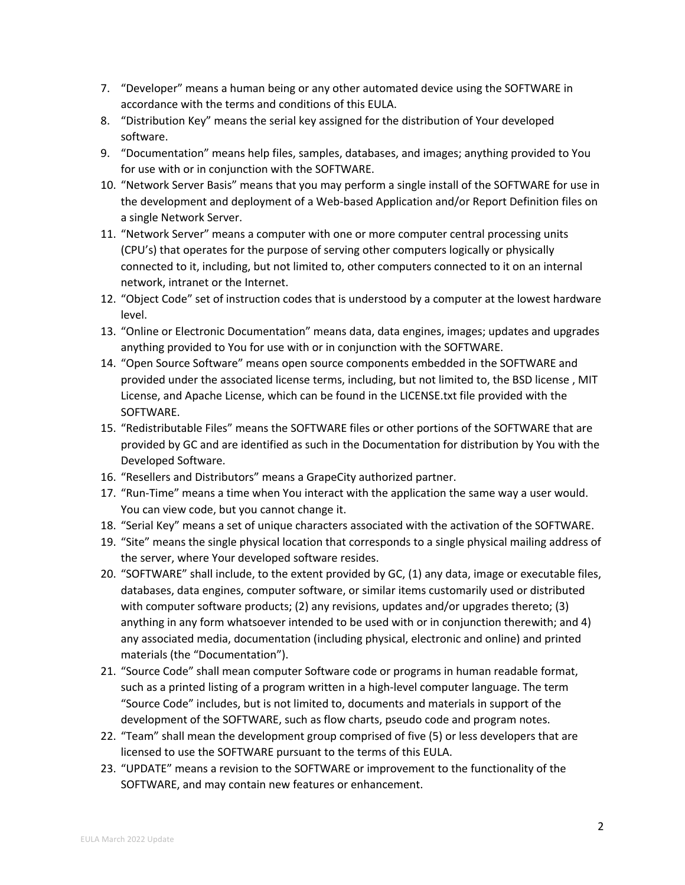- 7. "Developer" means a human being or any other automated device using the SOFTWARE in accordance with the terms and conditions of this EULA.
- 8. "Distribution Key" means the serial key assigned for the distribution of Your developed software.
- 9. "Documentation" means help files, samples, databases, and images; anything provided to You for use with or in conjunction with the SOFTWARE.
- 10. "Network Server Basis" means that you may perform a single install of the SOFTWARE for use in the development and deployment of a Web-based Application and/or Report Definition files on a single Network Server.
- 11. "Network Server" means a computer with one or more computer central processing units (CPU's) that operates for the purpose of serving other computers logically or physically connected to it, including, but not limited to, other computers connected to it on an internal network, intranet or the Internet.
- 12. "Object Code" set of instruction codes that is understood by a computer at the lowest hardware level.
- 13. "Online or Electronic Documentation" means data, data engines, images; updates and upgrades anything provided to You for use with or in conjunction with the SOFTWARE.
- 14. "Open Source Software" means open source components embedded in the SOFTWARE and provided under the associated license terms, including, but not limited to, the BSD license , MIT License, and Apache License, which can be found in the LICENSE.txt file provided with the SOFTWARE.
- 15. "Redistributable Files" means the SOFTWARE files or other portions of the SOFTWARE that are provided by GC and are identified as such in the Documentation for distribution by You with the Developed Software.
- 16. "Resellers and Distributors" means a GrapeCity authorized partner.
- 17. "Run-Time" means a time when You interact with the application the same way a user would. You can view code, but you cannot change it.
- 18. "Serial Key" means a set of unique characters associated with the activation of the SOFTWARE.
- 19. "Site" means the single physical location that corresponds to a single physical mailing address of the server, where Your developed software resides.
- 20. "SOFTWARE" shall include, to the extent provided by GC, (1) any data, image or executable files, databases, data engines, computer software, or similar items customarily used or distributed with computer software products; (2) any revisions, updates and/or upgrades thereto; (3) anything in any form whatsoever intended to be used with or in conjunction therewith; and 4) any associated media, documentation (including physical, electronic and online) and printed materials (the "Documentation").
- 21. "Source Code" shall mean computer Software code or programs in human readable format, such as a printed listing of a program written in a high-level computer language. The term "Source Code" includes, but is not limited to, documents and materials in support of the development of the SOFTWARE, such as flow charts, pseudo code and program notes.
- 22. "Team" shall mean the development group comprised of five (5) or less developers that are licensed to use the SOFTWARE pursuant to the terms of this EULA.
- 23. "UPDATE" means a revision to the SOFTWARE or improvement to the functionality of the SOFTWARE, and may contain new features or enhancement.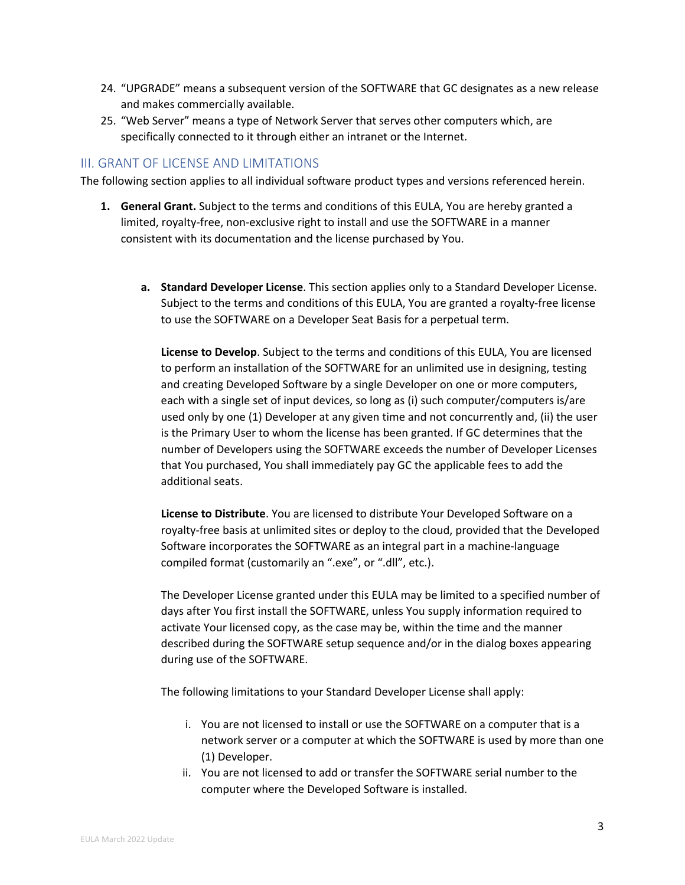- 24. "UPGRADE" means a subsequent version of the SOFTWARE that GC designates as a new release and makes commercially available.
- 25. "Web Server" means a type of Network Server that serves other computers which, are specifically connected to it through either an intranet or the Internet.

## III. GRANT OF LICENSE AND LIMITATIONS

The following section applies to all individual software product types and versions referenced herein.

- **1. General Grant.** Subject to the terms and conditions of this EULA, You are hereby granted a limited, royalty-free, non-exclusive right to install and use the SOFTWARE in a manner consistent with its documentation and the license purchased by You.
	- **a. Standard Developer License**. This section applies only to a Standard Developer License. Subject to the terms and conditions of this EULA, You are granted a royalty-free license to use the SOFTWARE on a Developer Seat Basis for a perpetual term.

**License to Develop**. Subject to the terms and conditions of this EULA, You are licensed to perform an installation of the SOFTWARE for an unlimited use in designing, testing and creating Developed Software by a single Developer on one or more computers, each with a single set of input devices, so long as (i) such computer/computers is/are used only by one (1) Developer at any given time and not concurrently and, (ii) the user is the Primary User to whom the license has been granted. If GC determines that the number of Developers using the SOFTWARE exceeds the number of Developer Licenses that You purchased, You shall immediately pay GC the applicable fees to add the additional seats.

**License to Distribute**. You are licensed to distribute Your Developed Software on a royalty-free basis at unlimited sites or deploy to the cloud, provided that the Developed Software incorporates the SOFTWARE as an integral part in a machine-language compiled format (customarily an ".exe", or ".dll", etc.).

The Developer License granted under this EULA may be limited to a specified number of days after You first install the SOFTWARE, unless You supply information required to activate Your licensed copy, as the case may be, within the time and the manner described during the SOFTWARE setup sequence and/or in the dialog boxes appearing during use of the SOFTWARE.

The following limitations to your Standard Developer License shall apply:

- i. You are not licensed to install or use the SOFTWARE on a computer that is a network server or a computer at which the SOFTWARE is used by more than one (1) Developer.
- ii. You are not licensed to add or transfer the SOFTWARE serial number to the computer where the Developed Software is installed.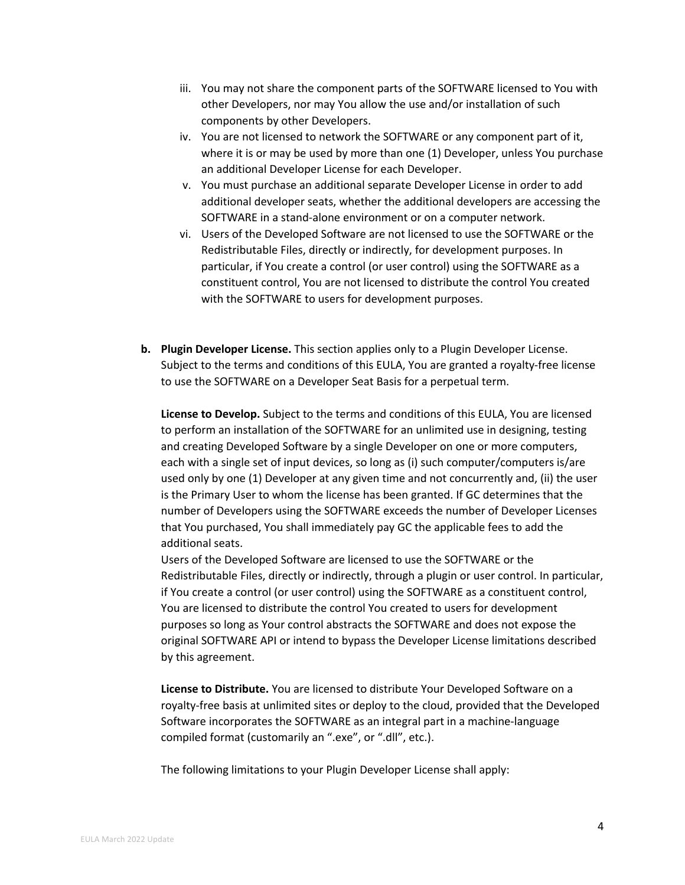- iii. You may not share the component parts of the SOFTWARE licensed to You with other Developers, nor may You allow the use and/or installation of such components by other Developers.
- iv. You are not licensed to network the SOFTWARE or any component part of it, where it is or may be used by more than one (1) Developer, unless You purchase an additional Developer License for each Developer.
- v. You must purchase an additional separate Developer License in order to add additional developer seats, whether the additional developers are accessing the SOFTWARE in a stand-alone environment or on a computer network.
- vi. Users of the Developed Software are not licensed to use the SOFTWARE or the Redistributable Files, directly or indirectly, for development purposes. In particular, if You create a control (or user control) using the SOFTWARE as a constituent control, You are not licensed to distribute the control You created with the SOFTWARE to users for development purposes.
- **b. Plugin Developer License.** This section applies only to a Plugin Developer License. Subject to the terms and conditions of this EULA, You are granted a royalty-free license to use the SOFTWARE on a Developer Seat Basis for a perpetual term.

**License to Develop.** Subject to the terms and conditions of this EULA, You are licensed to perform an installation of the SOFTWARE for an unlimited use in designing, testing and creating Developed Software by a single Developer on one or more computers, each with a single set of input devices, so long as (i) such computer/computers is/are used only by one (1) Developer at any given time and not concurrently and, (ii) the user is the Primary User to whom the license has been granted. If GC determines that the number of Developers using the SOFTWARE exceeds the number of Developer Licenses that You purchased, You shall immediately pay GC the applicable fees to add the additional seats.

Users of the Developed Software are licensed to use the SOFTWARE or the Redistributable Files, directly or indirectly, through a plugin or user control. In particular, if You create a control (or user control) using the SOFTWARE as a constituent control, You are licensed to distribute the control You created to users for development purposes so long as Your control abstracts the SOFTWARE and does not expose the original SOFTWARE API or intend to bypass the Developer License limitations described by this agreement.

**License to Distribute.** You are licensed to distribute Your Developed Software on a royalty-free basis at unlimited sites or deploy to the cloud, provided that the Developed Software incorporates the SOFTWARE as an integral part in a machine-language compiled format (customarily an ".exe", or ".dll", etc.).

The following limitations to your Plugin Developer License shall apply: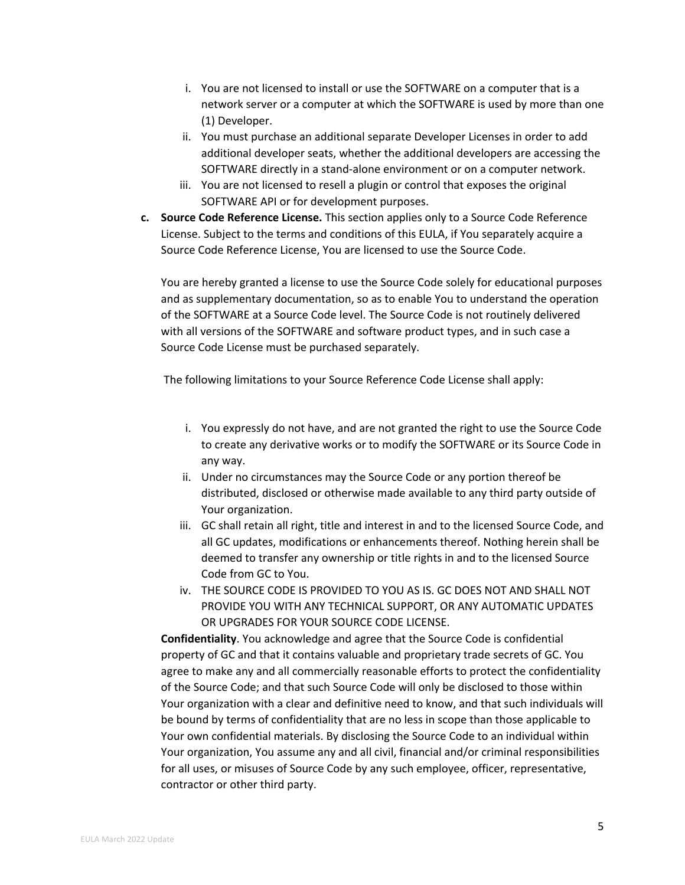- i. You are not licensed to install or use the SOFTWARE on a computer that is a network server or a computer at which the SOFTWARE is used by more than one (1) Developer.
- ii. You must purchase an additional separate Developer Licenses in order to add additional developer seats, whether the additional developers are accessing the SOFTWARE directly in a stand-alone environment or on a computer network.
- iii. You are not licensed to resell a plugin or control that exposes the original SOFTWARE API or for development purposes.
- **c. Source Code Reference License.** This section applies only to a Source Code Reference License. Subject to the terms and conditions of this EULA, if You separately acquire a Source Code Reference License, You are licensed to use the Source Code.

You are hereby granted a license to use the Source Code solely for educational purposes and as supplementary documentation, so as to enable You to understand the operation of the SOFTWARE at a Source Code level. The Source Code is not routinely delivered with all versions of the SOFTWARE and software product types, and in such case a Source Code License must be purchased separately.

The following limitations to your Source Reference Code License shall apply:

- i. You expressly do not have, and are not granted the right to use the Source Code to create any derivative works or to modify the SOFTWARE or its Source Code in any way.
- ii. Under no circumstances may the Source Code or any portion thereof be distributed, disclosed or otherwise made available to any third party outside of Your organization.
- iii. GC shall retain all right, title and interest in and to the licensed Source Code, and all GC updates, modifications or enhancements thereof. Nothing herein shall be deemed to transfer any ownership or title rights in and to the licensed Source Code from GC to You.
- iv. THE SOURCE CODE IS PROVIDED TO YOU AS IS. GC DOES NOT AND SHALL NOT PROVIDE YOU WITH ANY TECHNICAL SUPPORT, OR ANY AUTOMATIC UPDATES OR UPGRADES FOR YOUR SOURCE CODE LICENSE.

**Confidentiality**. You acknowledge and agree that the Source Code is confidential property of GC and that it contains valuable and proprietary trade secrets of GC. You agree to make any and all commercially reasonable efforts to protect the confidentiality of the Source Code; and that such Source Code will only be disclosed to those within Your organization with a clear and definitive need to know, and that such individuals will be bound by terms of confidentiality that are no less in scope than those applicable to Your own confidential materials. By disclosing the Source Code to an individual within Your organization, You assume any and all civil, financial and/or criminal responsibilities for all uses, or misuses of Source Code by any such employee, officer, representative, contractor or other third party.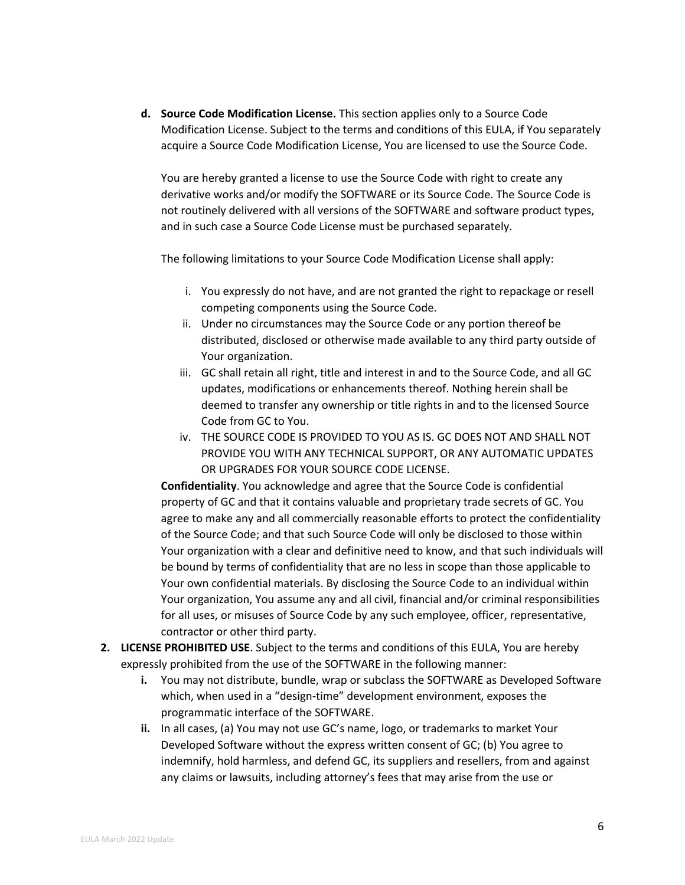**d. Source Code Modification License.** This section applies only to a Source Code Modification License. Subject to the terms and conditions of this EULA, if You separately acquire a Source Code Modification License, You are licensed to use the Source Code.

You are hereby granted a license to use the Source Code with right to create any derivative works and/or modify the SOFTWARE or its Source Code. The Source Code is not routinely delivered with all versions of the SOFTWARE and software product types, and in such case a Source Code License must be purchased separately.

The following limitations to your Source Code Modification License shall apply:

- i. You expressly do not have, and are not granted the right to repackage or resell competing components using the Source Code.
- ii. Under no circumstances may the Source Code or any portion thereof be distributed, disclosed or otherwise made available to any third party outside of Your organization.
- iii. GC shall retain all right, title and interest in and to the Source Code, and all GC updates, modifications or enhancements thereof. Nothing herein shall be deemed to transfer any ownership or title rights in and to the licensed Source Code from GC to You.
- iv. THE SOURCE CODE IS PROVIDED TO YOU AS IS. GC DOES NOT AND SHALL NOT PROVIDE YOU WITH ANY TECHNICAL SUPPORT, OR ANY AUTOMATIC UPDATES OR UPGRADES FOR YOUR SOURCE CODE LICENSE.

**Confidentiality**. You acknowledge and agree that the Source Code is confidential property of GC and that it contains valuable and proprietary trade secrets of GC. You agree to make any and all commercially reasonable efforts to protect the confidentiality of the Source Code; and that such Source Code will only be disclosed to those within Your organization with a clear and definitive need to know, and that such individuals will be bound by terms of confidentiality that are no less in scope than those applicable to Your own confidential materials. By disclosing the Source Code to an individual within Your organization, You assume any and all civil, financial and/or criminal responsibilities for all uses, or misuses of Source Code by any such employee, officer, representative, contractor or other third party.

- **2. LICENSE PROHIBITED USE**. Subject to the terms and conditions of this EULA, You are hereby expressly prohibited from the use of the SOFTWARE in the following manner:
	- **i.** You may not distribute, bundle, wrap or subclass the SOFTWARE as Developed Software which, when used in a "design-time" development environment, exposes the programmatic interface of the SOFTWARE.
	- **ii.** In all cases, (a) You may not use GC's name, logo, or trademarks to market Your Developed Software without the express written consent of GC; (b) You agree to indemnify, hold harmless, and defend GC, its suppliers and resellers, from and against any claims or lawsuits, including attorney's fees that may arise from the use or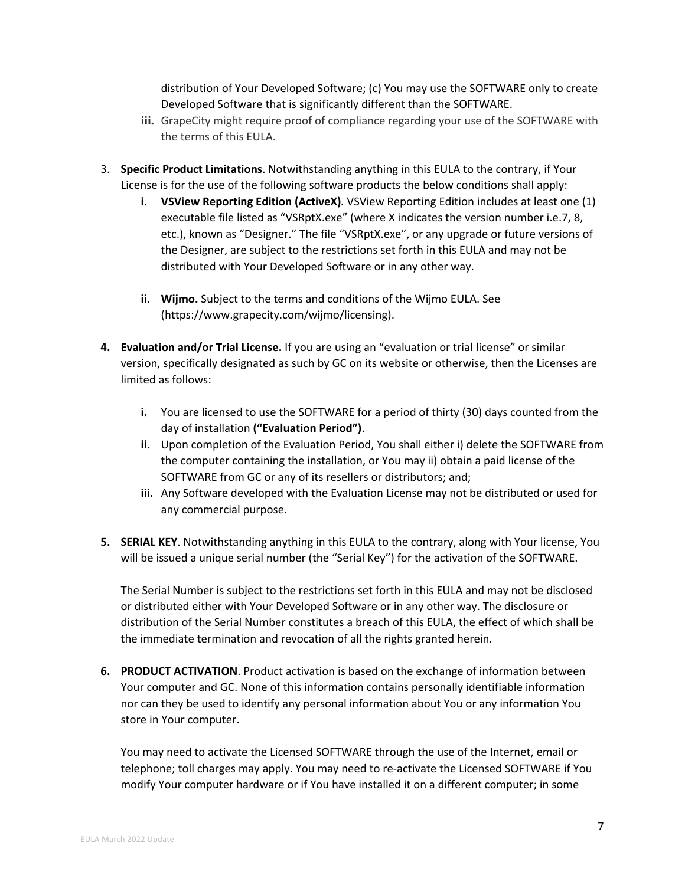distribution of Your Developed Software; (c) You may use the SOFTWARE only to create Developed Software that is significantly different than the SOFTWARE.

- **iii.** GrapeCity might require proof of compliance regarding your use of the SOFTWARE with the terms of this EULA.
- 3. **Specific Product Limitations**. Notwithstanding anything in this EULA to the contrary, if Your License is for the use of the following software products the below conditions shall apply:
	- **i. VSView Reporting Edition (ActiveX)***.* VSView Reporting Edition includes at least one (1) executable file listed as "VSRptX.exe" (where X indicates the version number i.e.7, 8, etc.), known as "Designer." The file "VSRptX.exe", or any upgrade or future versions of the Designer, are subject to the restrictions set forth in this EULA and may not be distributed with Your Developed Software or in any other way.
	- **ii. Wijmo.** Subject to the terms and conditions of the Wijmo EULA. See (https://www.grapecity.com/wijmo/licensing).
- **4. Evaluation and/or Trial License.** If you are using an "evaluation or trial license" or similar version, specifically designated as such by GC on its website or otherwise, then the Licenses are limited as follows:
	- **i.** You are licensed to use the SOFTWARE for a period of thirty (30) days counted from the day of installation **("Evaluation Period")**.
	- **ii.** Upon completion of the Evaluation Period, You shall either i) delete the SOFTWARE from the computer containing the installation, or You may ii) obtain a paid license of the SOFTWARE from GC or any of its resellers or distributors; and;
	- **iii.** Any Software developed with the Evaluation License may not be distributed or used for any commercial purpose.
- **5. SERIAL KEY**. Notwithstanding anything in this EULA to the contrary, along with Your license, You will be issued a unique serial number (the "Serial Key") for the activation of the SOFTWARE.

The Serial Number is subject to the restrictions set forth in this EULA and may not be disclosed or distributed either with Your Developed Software or in any other way. The disclosure or distribution of the Serial Number constitutes a breach of this EULA, the effect of which shall be the immediate termination and revocation of all the rights granted herein.

**6. PRODUCT ACTIVATION**. Product activation is based on the exchange of information between Your computer and GC. None of this information contains personally identifiable information nor can they be used to identify any personal information about You or any information You store in Your computer.

You may need to activate the Licensed SOFTWARE through the use of the Internet, email or telephone; toll charges may apply. You may need to re-activate the Licensed SOFTWARE if You modify Your computer hardware or if You have installed it on a different computer; in some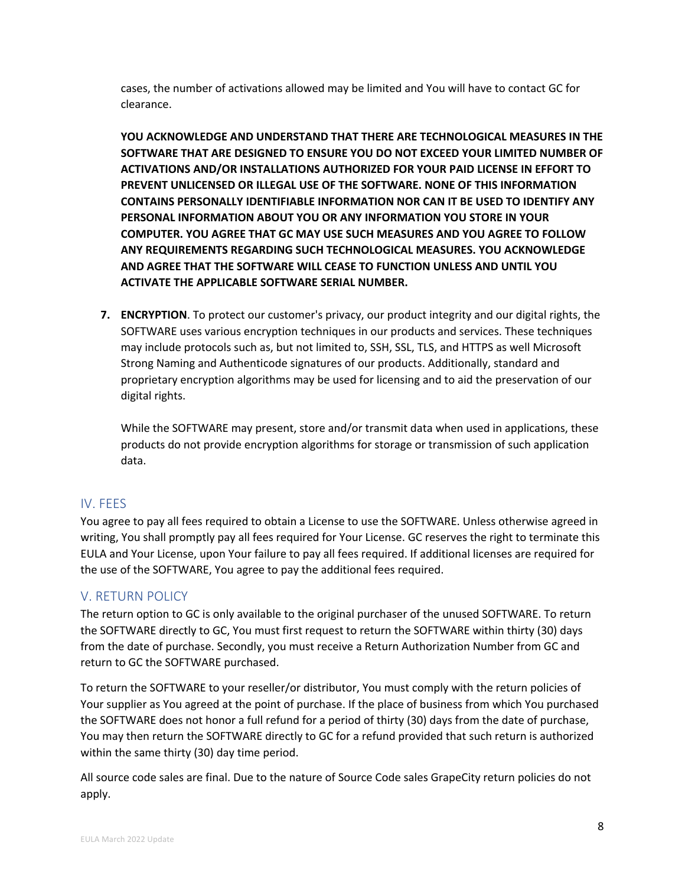cases, the number of activations allowed may be limited and You will have to contact GC for clearance.

**YOU ACKNOWLEDGE AND UNDERSTAND THAT THERE ARE TECHNOLOGICAL MEASURES IN THE SOFTWARE THAT ARE DESIGNED TO ENSURE YOU DO NOT EXCEED YOUR LIMITED NUMBER OF ACTIVATIONS AND/OR INSTALLATIONS AUTHORIZED FOR YOUR PAID LICENSE IN EFFORT TO PREVENT UNLICENSED OR ILLEGAL USE OF THE SOFTWARE. NONE OF THIS INFORMATION CONTAINS PERSONALLY IDENTIFIABLE INFORMATION NOR CAN IT BE USED TO IDENTIFY ANY PERSONAL INFORMATION ABOUT YOU OR ANY INFORMATION YOU STORE IN YOUR COMPUTER. YOU AGREE THAT GC MAY USE SUCH MEASURES AND YOU AGREE TO FOLLOW ANY REQUIREMENTS REGARDING SUCH TECHNOLOGICAL MEASURES. YOU ACKNOWLEDGE AND AGREE THAT THE SOFTWARE WILL CEASE TO FUNCTION UNLESS AND UNTIL YOU ACTIVATE THE APPLICABLE SOFTWARE SERIAL NUMBER.**

**7. ENCRYPTION**. To protect our customer's privacy, our product integrity and our digital rights, the SOFTWARE uses various encryption techniques in our products and services. These techniques may include protocols such as, but not limited to, SSH, SSL, TLS, and HTTPS as well Microsoft Strong Naming and Authenticode signatures of our products. Additionally, standard and proprietary encryption algorithms may be used for licensing and to aid the preservation of our digital rights.

While the SOFTWARE may present, store and/or transmit data when used in applications, these products do not provide encryption algorithms for storage or transmission of such application data.

# IV. FEES

You agree to pay all fees required to obtain a License to use the SOFTWARE. Unless otherwise agreed in writing, You shall promptly pay all fees required for Your License. GC reserves the right to terminate this EULA and Your License, upon Your failure to pay all fees required. If additional licenses are required for the use of the SOFTWARE, You agree to pay the additional fees required.

# V. RETURN POLICY

The return option to GC is only available to the original purchaser of the unused SOFTWARE. To return the SOFTWARE directly to GC, You must first request to return the SOFTWARE within thirty (30) days from the date of purchase. Secondly, you must receive a Return Authorization Number from GC and return to GC the SOFTWARE purchased.

To return the SOFTWARE to your reseller/or distributor, You must comply with the return policies of Your supplier as You agreed at the point of purchase. If the place of business from which You purchased the SOFTWARE does not honor a full refund for a period of thirty (30) days from the date of purchase, You may then return the SOFTWARE directly to GC for a refund provided that such return is authorized within the same thirty (30) day time period.

All source code sales are final. Due to the nature of Source Code sales GrapeCity return policies do not apply.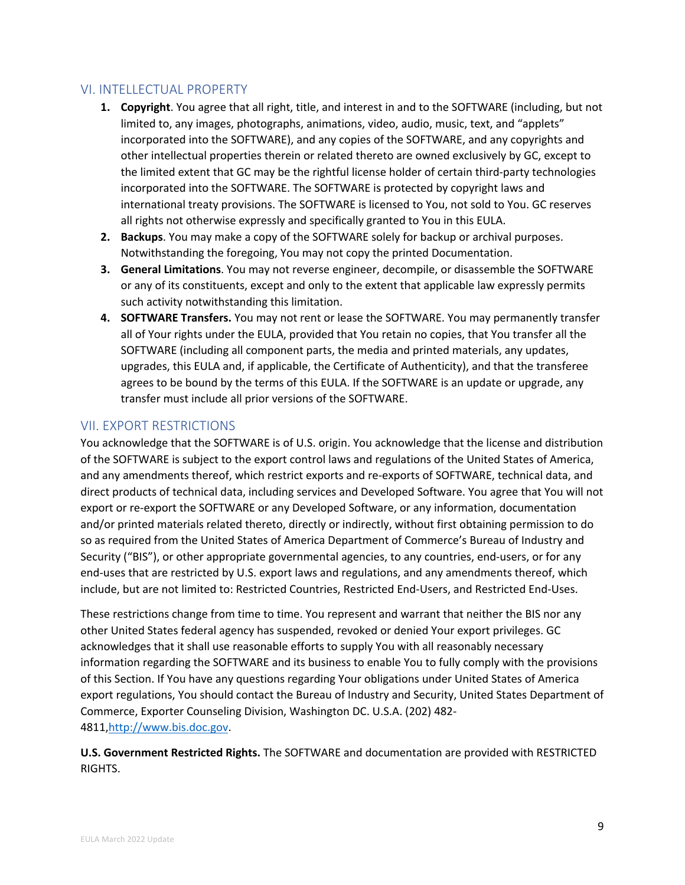# VI. INTELLECTUAL PROPERTY

- **1. Copyright**. You agree that all right, title, and interest in and to the SOFTWARE (including, but not limited to, any images, photographs, animations, video, audio, music, text, and "applets" incorporated into the SOFTWARE), and any copies of the SOFTWARE, and any copyrights and other intellectual properties therein or related thereto are owned exclusively by GC, except to the limited extent that GC may be the rightful license holder of certain third-party technologies incorporated into the SOFTWARE. The SOFTWARE is protected by copyright laws and international treaty provisions. The SOFTWARE is licensed to You, not sold to You. GC reserves all rights not otherwise expressly and specifically granted to You in this EULA.
- **2. Backups**. You may make a copy of the SOFTWARE solely for backup or archival purposes. Notwithstanding the foregoing, You may not copy the printed Documentation.
- **3. General Limitations**. You may not reverse engineer, decompile, or disassemble the SOFTWARE or any of its constituents, except and only to the extent that applicable law expressly permits such activity notwithstanding this limitation.
- **4. SOFTWARE Transfers.** You may not rent or lease the SOFTWARE. You may permanently transfer all of Your rights under the EULA, provided that You retain no copies, that You transfer all the SOFTWARE (including all component parts, the media and printed materials, any updates, upgrades, this EULA and, if applicable, the Certificate of Authenticity), and that the transferee agrees to be bound by the terms of this EULA. If the SOFTWARE is an update or upgrade, any transfer must include all prior versions of the SOFTWARE.

## VII. EXPORT RESTRICTIONS

You acknowledge that the SOFTWARE is of U.S. origin. You acknowledge that the license and distribution of the SOFTWARE is subject to the export control laws and regulations of the United States of America, and any amendments thereof, which restrict exports and re-exports of SOFTWARE, technical data, and direct products of technical data, including services and Developed Software. You agree that You will not export or re-export the SOFTWARE or any Developed Software, or any information, documentation and/or printed materials related thereto, directly or indirectly, without first obtaining permission to do so as required from the United States of America Department of Commerce's Bureau of Industry and Security ("BIS"), or other appropriate governmental agencies, to any countries, end-users, or for any end-uses that are restricted by U.S. export laws and regulations, and any amendments thereof, which include, but are not limited to: Restricted Countries, Restricted End-Users, and Restricted End-Uses.

These restrictions change from time to time. You represent and warrant that neither the BIS nor any other United States federal agency has suspended, revoked or denied Your export privileges. GC acknowledges that it shall use reasonable efforts to supply You with all reasonably necessary information regarding the SOFTWARE and its business to enable You to fully comply with the provisions of this Section. If You have any questions regarding Your obligations under United States of America export regulations, You should contact the Bureau of Industry and Security, United States Department of Commerce, Exporter Counseling Division, Washington DC. U.S.A. (202) 482- 4811,http://www.bis.doc.gov.

**U.S. Government Restricted Rights.** The SOFTWARE and documentation are provided with RESTRICTED RIGHTS.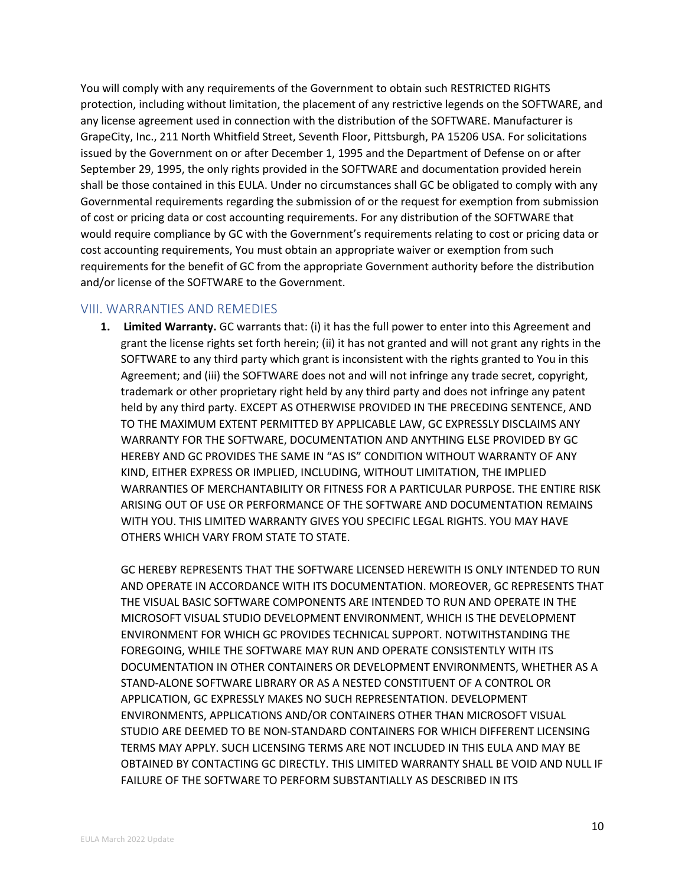You will comply with any requirements of the Government to obtain such RESTRICTED RIGHTS protection, including without limitation, the placement of any restrictive legends on the SOFTWARE, and any license agreement used in connection with the distribution of the SOFTWARE. Manufacturer is GrapeCity, Inc., 211 North Whitfield Street, Seventh Floor, Pittsburgh, PA 15206 USA. For solicitations issued by the Government on or after December 1, 1995 and the Department of Defense on or after September 29, 1995, the only rights provided in the SOFTWARE and documentation provided herein shall be those contained in this EULA. Under no circumstances shall GC be obligated to comply with any Governmental requirements regarding the submission of or the request for exemption from submission of cost or pricing data or cost accounting requirements. For any distribution of the SOFTWARE that would require compliance by GC with the Government's requirements relating to cost or pricing data or cost accounting requirements, You must obtain an appropriate waiver or exemption from such requirements for the benefit of GC from the appropriate Government authority before the distribution and/or license of the SOFTWARE to the Government.

#### VIII. WARRANTIES AND REMEDIES

**1. Limited Warranty.** GC warrants that: (i) it has the full power to enter into this Agreement and grant the license rights set forth herein; (ii) it has not granted and will not grant any rights in the SOFTWARE to any third party which grant is inconsistent with the rights granted to You in this Agreement; and (iii) the SOFTWARE does not and will not infringe any trade secret, copyright, trademark or other proprietary right held by any third party and does not infringe any patent held by any third party. EXCEPT AS OTHERWISE PROVIDED IN THE PRECEDING SENTENCE, AND TO THE MAXIMUM EXTENT PERMITTED BY APPLICABLE LAW, GC EXPRESSLY DISCLAIMS ANY WARRANTY FOR THE SOFTWARE, DOCUMENTATION AND ANYTHING ELSE PROVIDED BY GC HEREBY AND GC PROVIDES THE SAME IN "AS IS" CONDITION WITHOUT WARRANTY OF ANY KIND, EITHER EXPRESS OR IMPLIED, INCLUDING, WITHOUT LIMITATION, THE IMPLIED WARRANTIES OF MERCHANTABILITY OR FITNESS FOR A PARTICULAR PURPOSE. THE ENTIRE RISK ARISING OUT OF USE OR PERFORMANCE OF THE SOFTWARE AND DOCUMENTATION REMAINS WITH YOU. THIS LIMITED WARRANTY GIVES YOU SPECIFIC LEGAL RIGHTS. YOU MAY HAVE OTHERS WHICH VARY FROM STATE TO STATE.

GC HEREBY REPRESENTS THAT THE SOFTWARE LICENSED HEREWITH IS ONLY INTENDED TO RUN AND OPERATE IN ACCORDANCE WITH ITS DOCUMENTATION. MOREOVER, GC REPRESENTS THAT THE VISUAL BASIC SOFTWARE COMPONENTS ARE INTENDED TO RUN AND OPERATE IN THE MICROSOFT VISUAL STUDIO DEVELOPMENT ENVIRONMENT, WHICH IS THE DEVELOPMENT ENVIRONMENT FOR WHICH GC PROVIDES TECHNICAL SUPPORT. NOTWITHSTANDING THE FOREGOING, WHILE THE SOFTWARE MAY RUN AND OPERATE CONSISTENTLY WITH ITS DOCUMENTATION IN OTHER CONTAINERS OR DEVELOPMENT ENVIRONMENTS, WHETHER AS A STAND-ALONE SOFTWARE LIBRARY OR AS A NESTED CONSTITUENT OF A CONTROL OR APPLICATION, GC EXPRESSLY MAKES NO SUCH REPRESENTATION. DEVELOPMENT ENVIRONMENTS, APPLICATIONS AND/OR CONTAINERS OTHER THAN MICROSOFT VISUAL STUDIO ARE DEEMED TO BE NON-STANDARD CONTAINERS FOR WHICH DIFFERENT LICENSING TERMS MAY APPLY. SUCH LICENSING TERMS ARE NOT INCLUDED IN THIS EULA AND MAY BE OBTAINED BY CONTACTING GC DIRECTLY. THIS LIMITED WARRANTY SHALL BE VOID AND NULL IF FAILURE OF THE SOFTWARE TO PERFORM SUBSTANTIALLY AS DESCRIBED IN ITS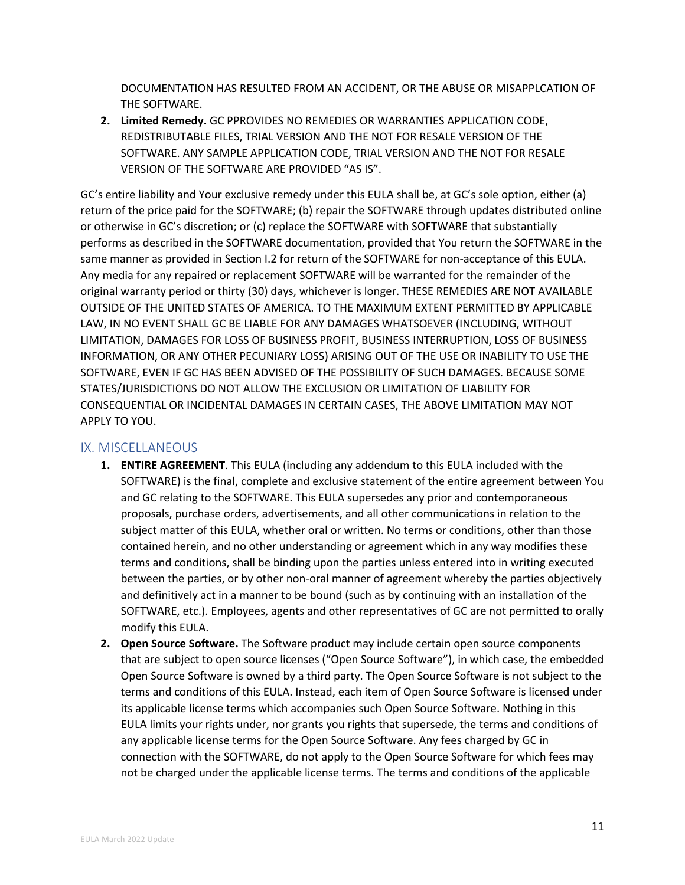DOCUMENTATION HAS RESULTED FROM AN ACCIDENT, OR THE ABUSE OR MISAPPLCATION OF THE SOFTWARE.

**2. Limited Remedy.** GC PPROVIDES NO REMEDIES OR WARRANTIES APPLICATION CODE, REDISTRIBUTABLE FILES, TRIAL VERSION AND THE NOT FOR RESALE VERSION OF THE SOFTWARE. ANY SAMPLE APPLICATION CODE, TRIAL VERSION AND THE NOT FOR RESALE VERSION OF THE SOFTWARE ARE PROVIDED "AS IS".

GC's entire liability and Your exclusive remedy under this EULA shall be, at GC's sole option, either (a) return of the price paid for the SOFTWARE; (b) repair the SOFTWARE through updates distributed online or otherwise in GC's discretion; or (c) replace the SOFTWARE with SOFTWARE that substantially performs as described in the SOFTWARE documentation, provided that You return the SOFTWARE in the same manner as provided in Section I.2 for return of the SOFTWARE for non-acceptance of this EULA. Any media for any repaired or replacement SOFTWARE will be warranted for the remainder of the original warranty period or thirty (30) days, whichever is longer. THESE REMEDIES ARE NOT AVAILABLE OUTSIDE OF THE UNITED STATES OF AMERICA. TO THE MAXIMUM EXTENT PERMITTED BY APPLICABLE LAW, IN NO EVENT SHALL GC BE LIABLE FOR ANY DAMAGES WHATSOEVER (INCLUDING, WITHOUT LIMITATION, DAMAGES FOR LOSS OF BUSINESS PROFIT, BUSINESS INTERRUPTION, LOSS OF BUSINESS INFORMATION, OR ANY OTHER PECUNIARY LOSS) ARISING OUT OF THE USE OR INABILITY TO USE THE SOFTWARE, EVEN IF GC HAS BEEN ADVISED OF THE POSSIBILITY OF SUCH DAMAGES. BECAUSE SOME STATES/JURISDICTIONS DO NOT ALLOW THE EXCLUSION OR LIMITATION OF LIABILITY FOR CONSEQUENTIAL OR INCIDENTAL DAMAGES IN CERTAIN CASES, THE ABOVE LIMITATION MAY NOT APPLY TO YOU.

#### IX. MISCELLANEOUS

- **1. ENTIRE AGREEMENT**. This EULA (including any addendum to this EULA included with the SOFTWARE) is the final, complete and exclusive statement of the entire agreement between You and GC relating to the SOFTWARE. This EULA supersedes any prior and contemporaneous proposals, purchase orders, advertisements, and all other communications in relation to the subject matter of this EULA, whether oral or written. No terms or conditions, other than those contained herein, and no other understanding or agreement which in any way modifies these terms and conditions, shall be binding upon the parties unless entered into in writing executed between the parties, or by other non-oral manner of agreement whereby the parties objectively and definitively act in a manner to be bound (such as by continuing with an installation of the SOFTWARE, etc.). Employees, agents and other representatives of GC are not permitted to orally modify this EULA.
- **2. Open Source Software.** The Software product may include certain open source components that are subject to open source licenses ("Open Source Software"), in which case, the embedded Open Source Software is owned by a third party. The Open Source Software is not subject to the terms and conditions of this EULA. Instead, each item of Open Source Software is licensed under its applicable license terms which accompanies such Open Source Software. Nothing in this EULA limits your rights under, nor grants you rights that supersede, the terms and conditions of any applicable license terms for the Open Source Software. Any fees charged by GC in connection with the SOFTWARE, do not apply to the Open Source Software for which fees may not be charged under the applicable license terms. The terms and conditions of the applicable